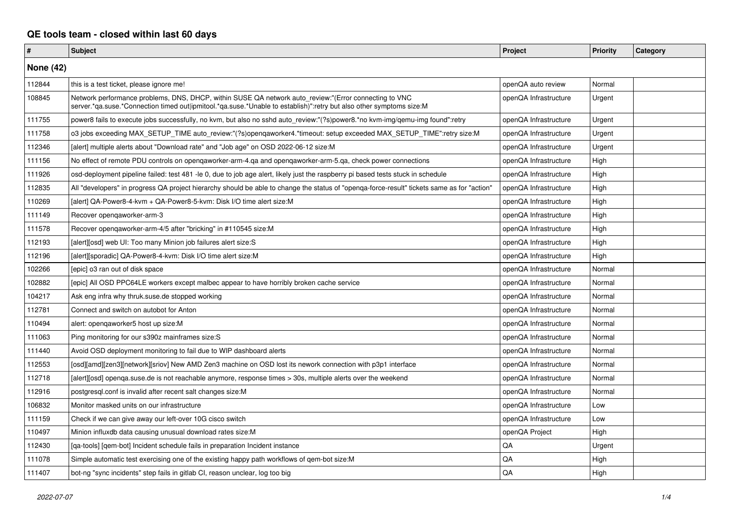## **QE tools team - closed within last 60 days**

| #                | <b>Subject</b>                                                                                                                                                                                                               | Project               | <b>Priority</b> | Category |
|------------------|------------------------------------------------------------------------------------------------------------------------------------------------------------------------------------------------------------------------------|-----------------------|-----------------|----------|
| <b>None (42)</b> |                                                                                                                                                                                                                              |                       |                 |          |
| 112844           | this is a test ticket, please ignore me!                                                                                                                                                                                     | openQA auto review    | Normal          |          |
| 108845           | Network performance problems, DNS, DHCP, within SUSE QA network auto_review:"(Error connecting to VNC<br>server.*ga.suse.*Connection timed out ipmitool.*ga.suse.*Unable to establish)":retry but also other symptoms size:M | openQA Infrastructure | Urgent          |          |
| 111755           | power8 fails to execute jobs successfully, no kvm, but also no sshd auto_review:"(?s)power8.*no kvm-img/qemu-img found":retry                                                                                                | openQA Infrastructure | Urgent          |          |
| 111758           | o3 jobs exceeding MAX_SETUP_TIME auto_review:"(?s)openqaworker4.*timeout: setup exceeded MAX_SETUP_TIME":retry size:M                                                                                                        | openQA Infrastructure | Urgent          |          |
| 112346           | [alert] multiple alerts about "Download rate" and "Job age" on OSD 2022-06-12 size:M                                                                                                                                         | openQA Infrastructure | Urgent          |          |
| 111156           | No effect of remote PDU controls on opengaworker-arm-4.ga and opengaworker-arm-5.ga, check power connections                                                                                                                 | openQA Infrastructure | High            |          |
| 111926           | osd-deployment pipeline failed: test 481 -le 0, due to job age alert, likely just the raspberry pi based tests stuck in schedule                                                                                             | openQA Infrastructure | High            |          |
| 112835           | All "developers" in progress QA project hierarchy should be able to change the status of "openqa-force-result" tickets same as for "action"                                                                                  | openQA Infrastructure | High            |          |
| 110269           | [alert] QA-Power8-4-kvm + QA-Power8-5-kvm: Disk I/O time alert size:M                                                                                                                                                        | openQA Infrastructure | High            |          |
| 111149           | Recover opengaworker-arm-3                                                                                                                                                                                                   | openQA Infrastructure | High            |          |
| 111578           | Recover opengaworker-arm-4/5 after "bricking" in #110545 size:M                                                                                                                                                              | openQA Infrastructure | High            |          |
| 112193           | [alert][osd] web UI: Too many Minion job failures alert size:S                                                                                                                                                               | openQA Infrastructure | High            |          |
| 112196           | [alert][sporadic] QA-Power8-4-kvm: Disk I/O time alert size:M                                                                                                                                                                | openQA Infrastructure | High            |          |
| 102266           | [epic] o3 ran out of disk space                                                                                                                                                                                              | openQA Infrastructure | Normal          |          |
| 102882           | [epic] All OSD PPC64LE workers except malbec appear to have horribly broken cache service                                                                                                                                    | openQA Infrastructure | Normal          |          |
| 104217           | Ask eng infra why thruk.suse.de stopped working                                                                                                                                                                              | openQA Infrastructure | Normal          |          |
| 112781           | Connect and switch on autobot for Anton                                                                                                                                                                                      | openQA Infrastructure | Normal          |          |
| 110494           | alert: opengaworker5 host up size:M                                                                                                                                                                                          | openQA Infrastructure | Normal          |          |
| 111063           | Ping monitoring for our s390z mainframes size:S                                                                                                                                                                              | openQA Infrastructure | Normal          |          |
| 111440           | Avoid OSD deployment monitoring to fail due to WIP dashboard alerts                                                                                                                                                          | openQA Infrastructure | Normal          |          |
| 112553           | [osd][amd][zen3][network][sriov] New AMD Zen3 machine on OSD lost its nework connection with p3p1 interface                                                                                                                  | openQA Infrastructure | Normal          |          |
| 112718           | [alert][osd] openqa.suse.de is not reachable anymore, response times > 30s, multiple alerts over the weekend                                                                                                                 | openQA Infrastructure | Normal          |          |
| 112916           | postgresql.conf is invalid after recent salt changes size:M                                                                                                                                                                  | openQA Infrastructure | Normal          |          |
| 106832           | Monitor masked units on our infrastructure                                                                                                                                                                                   | openQA Infrastructure | Low             |          |
| 111159           | Check if we can give away our left-over 10G cisco switch                                                                                                                                                                     | openQA Infrastructure | Low             |          |
| 110497           | Minion influxdb data causing unusual download rates size:M                                                                                                                                                                   | openQA Project        | High            |          |
| 112430           | [qa-tools] [qem-bot] Incident schedule fails in preparation Incident instance                                                                                                                                                | QA                    | Urgent          |          |
| 111078           | Simple automatic test exercising one of the existing happy path workflows of gem-bot size:M                                                                                                                                  | QA                    | High            |          |
| 111407           | bot-ng "sync incidents" step fails in gitlab CI, reason unclear, log too big                                                                                                                                                 | QA                    | High            |          |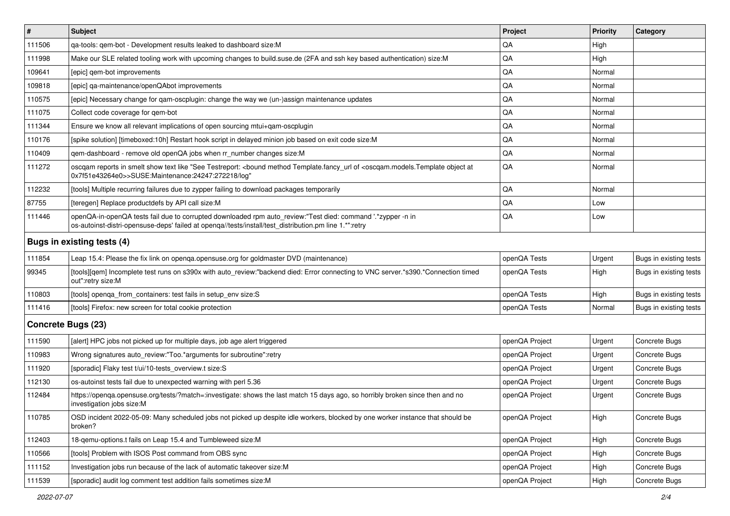| $\sharp$                   | Subject                                                                                                                                                                                                               | Project        | <b>Priority</b> | Category               |
|----------------------------|-----------------------------------------------------------------------------------------------------------------------------------------------------------------------------------------------------------------------|----------------|-----------------|------------------------|
| 111506                     | ga-tools: gem-bot - Development results leaked to dashboard size:M                                                                                                                                                    | QA             | High            |                        |
| 111998                     | Make our SLE related tooling work with upcoming changes to build.suse.de (2FA and ssh key based authentication) size:M                                                                                                | QA             | High            |                        |
| 109641                     | [epic] gem-bot improvements                                                                                                                                                                                           | QA             | Normal          |                        |
| 109818                     | [epic] qa-maintenance/openQAbot improvements                                                                                                                                                                          | QA             | Normal          |                        |
| 110575                     | [epic] Necessary change for gam-oscplugin: change the way we (un-)assign maintenance updates                                                                                                                          | QA             | Normal          |                        |
| 111075                     | Collect code coverage for gem-bot                                                                                                                                                                                     | QA             | Normal          |                        |
| 111344                     | Ensure we know all relevant implications of open sourcing mtui+gam-oscplugin                                                                                                                                          | QA             | Normal          |                        |
| 110176                     | [spike solution] [timeboxed:10h] Restart hook script in delayed minion job based on exit code size:M                                                                                                                  | QA             | Normal          |                        |
| 110409                     | qem-dashboard - remove old openQA jobs when rr_number changes size:M                                                                                                                                                  | QA             | Normal          |                        |
| 111272                     | oscqam reports in smelt show text like "See Testreport: <bound <oscqam.models.template="" at<br="" method="" object="" of="" template.fancy_url="">0x7f51e43264e0&gt;&gt;SUSE:Maintenance:24247:272218/log"</bound>   | QA             | Normal          |                        |
| 112232                     | [tools] Multiple recurring failures due to zypper failing to download packages temporarily                                                                                                                            | QA             | Normal          |                        |
| 87755                      | [teregen] Replace productdefs by API call size:M                                                                                                                                                                      | QA             | Low             |                        |
| 111446                     | openQA-in-openQA tests fail due to corrupted downloaded rpm auto_review:"Test died: command '.*zypper -n in<br>os-autoinst-distri-opensuse-deps' failed at openqa//tests/install/test_distribution.pm line 1.*":retry | QA             | Low             |                        |
| Bugs in existing tests (4) |                                                                                                                                                                                                                       |                |                 |                        |
| 111854                     | Leap 15.4: Please the fix link on openqa.opensuse.org for goldmaster DVD (maintenance)                                                                                                                                | openQA Tests   | Urgent          | Bugs in existing tests |
| 99345                      | [tools][gem] Incomplete test runs on s390x with auto_review:"backend died: Error connecting to VNC server.*s390.*Connection timed<br>out":retry size:M                                                                | openQA Tests   | High            | Bugs in existing tests |
| 110803                     | [tools] openqa_from_containers: test fails in setup_env size:S                                                                                                                                                        | openQA Tests   | High            | Bugs in existing tests |
| 111416                     | [tools] Firefox: new screen for total cookie protection                                                                                                                                                               | openQA Tests   | Normal          | Bugs in existing tests |
| <b>Concrete Bugs (23)</b>  |                                                                                                                                                                                                                       |                |                 |                        |
| 111590                     | [alert] HPC jobs not picked up for multiple days, job age alert triggered                                                                                                                                             | openQA Project | Urgent          | Concrete Bugs          |
| 110983                     | Wrong signatures auto_review:"Too.*arguments for subroutine":retry                                                                                                                                                    | openQA Project | Urgent          | Concrete Bugs          |
| 111920                     | [sporadic] Flaky test t/ui/10-tests overview.t size:S                                                                                                                                                                 | openQA Project | Urgent          | Concrete Bugs          |
| 112130                     | os-autoinst tests fail due to unexpected warning with perl 5.36                                                                                                                                                       | openQA Project | Urgent          | Concrete Bugs          |
| 112484                     | https://openqa.opensuse.org/tests/?match=:investigate: shows the last match 15 days ago, so horribly broken since then and no<br>investigation jobs size:M                                                            | openQA Project | Urgent          | Concrete Bugs          |
| 110785                     | OSD incident 2022-05-09: Many scheduled jobs not picked up despite idle workers, blocked by one worker instance that should be<br>broken?                                                                             | openQA Project | High            | Concrete Bugs          |
| 112403                     | 18-gemu-options.t fails on Leap 15.4 and Tumbleweed size:M                                                                                                                                                            | openQA Project | High            | Concrete Bugs          |
| 110566                     | [tools] Problem with ISOS Post command from OBS sync                                                                                                                                                                  | openQA Project | High            | Concrete Bugs          |
| 111152                     | Investigation jobs run because of the lack of automatic takeover size:M                                                                                                                                               | openQA Project | High            | Concrete Bugs          |
| 111539                     | [sporadic] audit log comment test addition fails sometimes size:M                                                                                                                                                     | openQA Project | High            | Concrete Bugs          |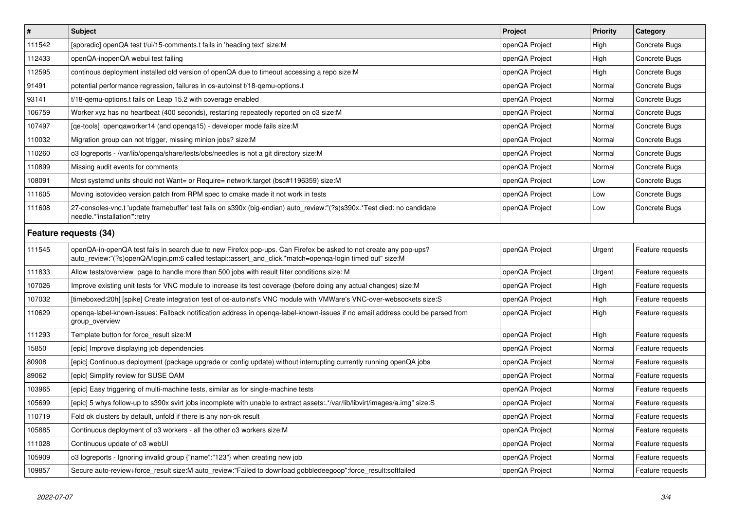| $\pmb{\#}$            | <b>Subject</b>                                                                                                                                                                                                                 | <b>Project</b> | <b>Priority</b> | Category         |
|-----------------------|--------------------------------------------------------------------------------------------------------------------------------------------------------------------------------------------------------------------------------|----------------|-----------------|------------------|
| 111542                | [sporadic] openQA test t/ui/15-comments.t fails in 'heading text' size:M                                                                                                                                                       | openQA Project | High            | Concrete Bugs    |
| 112433                | openQA-inopenQA webui test failing                                                                                                                                                                                             | openQA Project | High            | Concrete Bugs    |
| 112595                | continous deployment installed old version of openQA due to timeout accessing a repo size:M                                                                                                                                    | openQA Project | High            | Concrete Bugs    |
| 91491                 | potential performance regression, failures in os-autoinst t/18-gemu-options.t                                                                                                                                                  | openQA Project | Normal          | Concrete Bugs    |
| 93141                 | t/18-gemu-options.t fails on Leap 15.2 with coverage enabled                                                                                                                                                                   | openQA Project | Normal          | Concrete Bugs    |
| 106759                | Worker xyz has no heartbeat (400 seconds), restarting repeatedly reported on o3 size:M                                                                                                                                         | openQA Project | Normal          | Concrete Bugs    |
| 107497                | [ge-tools] opengaworker14 (and openga15) - developer mode fails size:M                                                                                                                                                         | openQA Project | Normal          | Concrete Bugs    |
| 110032                | Migration group can not trigger, missing minion jobs? size:M                                                                                                                                                                   | openQA Project | Normal          | Concrete Bugs    |
| 110260                | o3 logreports - /var/lib/openqa/share/tests/obs/needles is not a git directory size:M                                                                                                                                          | openQA Project | Normal          | Concrete Bugs    |
| 110899                | Missing audit events for comments                                                                                                                                                                                              | openQA Project | Normal          | Concrete Bugs    |
| 108091                | Most systemd units should not Want= or Require= network.target (bsc#1196359) size:M                                                                                                                                            | openQA Project | Low             | Concrete Bugs    |
| 111605                | Moving isotovideo version patch from RPM spec to cmake made it not work in tests                                                                                                                                               | openQA Project | Low             | Concrete Bugs    |
| 111608                | 27-consoles-vnc.t 'update framebuffer' test fails on s390x (big-endian) auto_review:"(?s)s390x.*Test died: no candidate<br>needle.*'installation'":retry                                                                       | openQA Project | Low             | Concrete Bugs    |
| Feature requests (34) |                                                                                                                                                                                                                                |                |                 |                  |
| 111545                | openQA-in-openQA test fails in search due to new Firefox pop-ups. Can Firefox be asked to not create any pop-ups?<br>auto_review:"(?s)openQA/login.pm:6 called testapi::assert_and_click.*match=openqa-login timed out" size:M | openQA Project | Urgent          | Feature requests |
| 111833                | Allow tests/overview page to handle more than 500 jobs with result filter conditions size: M                                                                                                                                   | openQA Project | Urgent          | Feature requests |
| 107026                | Improve existing unit tests for VNC module to increase its test coverage (before doing any actual changes) size:M                                                                                                              | openQA Project | High            | Feature requests |
| 107032                | [timeboxed:20h] [spike] Create integration test of os-autoinst's VNC module with VMWare's VNC-over-websockets size:S                                                                                                           | openQA Project | High            | Feature requests |
| 110629                | openga-label-known-issues: Fallback notification address in openga-label-known-issues if no email address could be parsed from<br>group_overview                                                                               | openQA Project | High            | Feature requests |
| 111293                | Template button for force result size:M                                                                                                                                                                                        | openQA Project | High            | Feature requests |
| 15850                 | [epic] Improve displaying job dependencies                                                                                                                                                                                     | openQA Project | Normal          | Feature requests |
| 80908                 | [epic] Continuous deployment (package upgrade or config update) without interrupting currently running openQA jobs                                                                                                             | openQA Project | Normal          | Feature requests |
| 89062                 | [epic] Simplify review for SUSE QAM                                                                                                                                                                                            | openQA Project | Normal          | Feature requests |
| 103965                | [epic] Easy triggering of multi-machine tests, similar as for single-machine tests                                                                                                                                             | openQA Project | Normal          | Feature requests |
| 105699                | [epic] 5 whys follow-up to s390x svirt jobs incomplete with unable to extract assets:.*/var/lib/libvirt/images/a.img" size:S                                                                                                   | openQA Project | Normal          | Feature requests |
| 110719                | Fold ok clusters by default, unfold if there is any non-ok result                                                                                                                                                              | openQA Project | Normal          | Feature requests |
| 105885                | Continuous deployment of o3 workers - all the other o3 workers size:M                                                                                                                                                          | openQA Project | Normal          | Feature requests |
| 111028                | Continuous update of o3 webUI                                                                                                                                                                                                  | openQA Project | Normal          | Feature requests |
| 105909                | o3 logreports - Ignoring invalid group {"name":"123"} when creating new job                                                                                                                                                    | openQA Project | Normal          | Feature requests |
| 109857                | Secure auto-review+force_result size:M auto_review:"Failed to download gobbledeegoop":force_result:softfailed                                                                                                                  | openQA Project | Normal          | Feature requests |